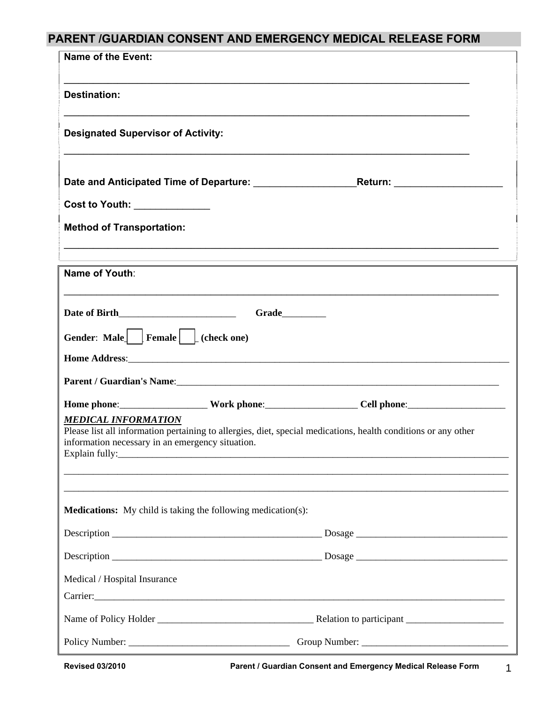# **PARENT /GUARDIAN CONSENT AND EMERGENCY MEDICAL RELEASE FORM**

| <b>Name of the Event:</b>                                                                                                                                                                        |                |                                                                                                               |
|--------------------------------------------------------------------------------------------------------------------------------------------------------------------------------------------------|----------------|---------------------------------------------------------------------------------------------------------------|
| <b>Destination:</b>                                                                                                                                                                              |                |                                                                                                               |
| <b>Designated Supervisor of Activity:</b>                                                                                                                                                        |                |                                                                                                               |
|                                                                                                                                                                                                  |                |                                                                                                               |
| Cost to Youth: ______________                                                                                                                                                                    |                |                                                                                                               |
| <b>Method of Transportation:</b>                                                                                                                                                                 |                |                                                                                                               |
| <b>Name of Youth:</b>                                                                                                                                                                            |                |                                                                                                               |
|                                                                                                                                                                                                  |                |                                                                                                               |
|                                                                                                                                                                                                  | Grade_________ |                                                                                                               |
| Gender: Male $\left  \begin{array}{c} \text{Female} \\ \text{Female} \end{array} \right $ (check one)                                                                                            |                |                                                                                                               |
|                                                                                                                                                                                                  |                |                                                                                                               |
| Parent / Guardian's Name: 1988 and 2008 and 2008 and 2010 and 2010 and 2010 and 2010 and 2010 and 2010 and 201                                                                                   |                |                                                                                                               |
|                                                                                                                                                                                                  |                | Home phone:_______________________Work phone:____________________Cell phone:_________________________________ |
| <b>MEDICAL INFORMATION</b><br>Please list all information pertaining to allergies, diet, special medications, health conditions or any other<br>information necessary in an emergency situation. |                |                                                                                                               |
|                                                                                                                                                                                                  |                |                                                                                                               |
| <b>Medications:</b> My child is taking the following medication(s):                                                                                                                              |                |                                                                                                               |
|                                                                                                                                                                                                  |                |                                                                                                               |
|                                                                                                                                                                                                  |                |                                                                                                               |
| Medical / Hospital Insurance                                                                                                                                                                     |                |                                                                                                               |
|                                                                                                                                                                                                  |                |                                                                                                               |
|                                                                                                                                                                                                  |                |                                                                                                               |
|                                                                                                                                                                                                  |                | Group Number:                                                                                                 |